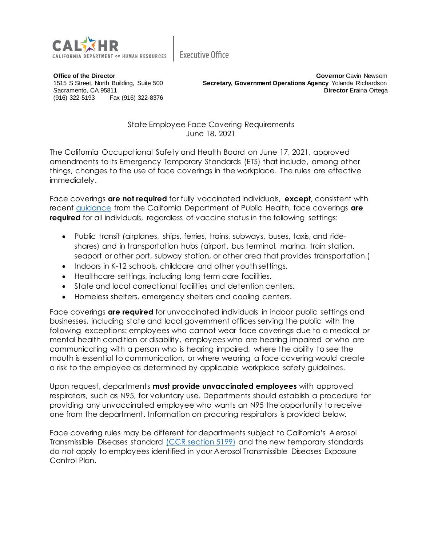

**Executive Office** 

**Office of the Director** 1515 S Street, North Building, Suite 500 Sacramento, CA 95811 (916) 322-5193 Fax (916) 322-8376

**Governor** Gavin Newsom **Secretary, Government Operations Agency** Yolanda Richardson **Director** Eraina Ortega

State Employee Face Covering Requirements June 18, 2021

The California Occupational Safety and Health Board on June 17, 2021, approved amendments to its Emergency Temporary Standards (ETS) that include, among other things, changes to the use of face coverings in the workplace. The rules are effective immediately.

Face coverings **are not required** for fully vaccinated individuals, **except**, consistent with recent [guidance](https://www.cdph.ca.gov/Programs/CID/DCDC/Pages/COVID-19/guidance-for-face-coverings.aspx) from the California Department of Public Health, face coverings **are required** for all individuals, regardless of vaccine status in the following settings:

- Public transit (airplanes, ships, ferries, trains, subways, buses, taxis, and rideshares) and in transportation hubs (airport, bus terminal, marina, train station, seaport or other port, subway station, or other area that provides transportation.)
- Indoors in K-12 schools, childcare and other youth settings.
- Healthcare settings, including long term care facilities.
- State and local correctional facilities and detention centers.
- Homeless shelters, emergency shelters and cooling centers.

Face coverings **are required** for unvaccinated individuals in indoor public settings and businesses, including state and local government offices serving the public with the following exceptions: employees who cannot wear face coverings due to a medical or mental health condition or disability, employees who are hearing impaired or who are communicating with a person who is hearing impaired, where the ability to see the mouth is essential to communication, or where wearing a face covering would create a risk to the employee as determined by applicable workplace safety guidelines.

Upon request, departments **must provide unvaccinated employees** with approved respirators, such as N95, for voluntary use. Departments should establish a procedure for providing any unvaccinated employee who wants an N95 the opportunity to receive one from the department. Information on procuring respirators is provided below.

Face covering rules may be different for departments subject to California's Aerosol Transmissible Diseases standard [\(CCR section 5199\)](https://www.dir.ca.gov/title8/5199.html) and the new temporary standards do not apply to employees identified in your Aerosol Transmissible Diseases Exposure Control Plan.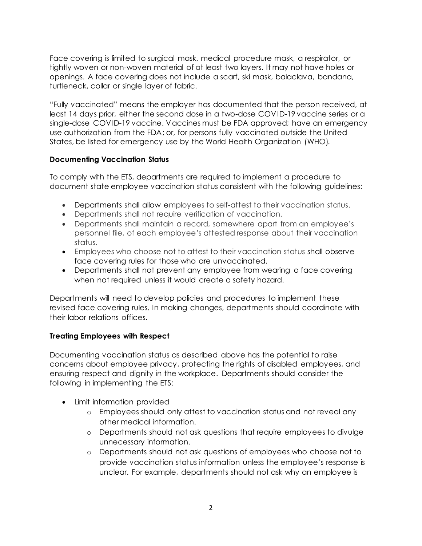Face covering is limited to surgical mask, medical procedure mask, a respirator, or tightly woven or non-woven material of at least two layers. It may not have holes or openings. A face covering does not include a scarf, ski mask, balaclava, bandana, turtleneck, collar or single layer of fabric.

"Fully vaccinated" means the employer has documented that the person received, at least 14 days prior, either the second dose in a two-dose COVID-19 vaccine series or a single-dose COVID-19 vaccine. Vaccines must be FDA approved; have an emergency use authorization from the FDA; or, for persons fully vaccinated outside the United States, be listed for emergency use by the World Health Organization (WHO).

## **Documenting Vaccination Status**

To comply with the ETS, departments are required to implement a procedure to document state employee vaccination status consistent with the following guidelines:

- Departments shall allow employees to self-attest to their vaccination status.
- Departments shall not require verification of vaccination.
- Departments shall maintain a record, somewhere apart from an employee's personnel file, of each employee's attested response about their vaccination status.
- Employees who choose not to attest to their vaccination status shall observe face covering rules for those who are unvaccinated.
- Departments shall not prevent any employee from wearing a face covering when not required unless it would create a safety hazard.

Departments will need to develop policies and procedures to implement these revised face covering rules. In making changes, departments should coordinate with their labor relations offices.

## **Treating Employees with Respect**

Documenting vaccination status as described above has the potential to raise concerns about employee privacy, protecting the rights of disabled employees, and ensuring respect and dignity in the workplace. Departments should consider the following in implementing the ETS:

- Limit information provided
	- o Employees should only attest to vaccination status and not reveal any other medical information.
	- o Departments should not ask questions that require employees to divulge unnecessary information.
	- o Departments should not ask questions of employees who choose not to provide vaccination status information unless the employee's response is unclear. For example, departments should not ask why an employee is